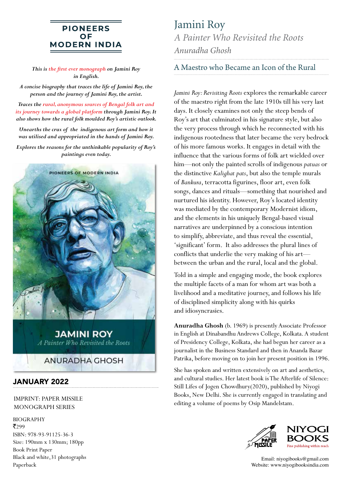## **PIONEERS** OF **MODERN INDIA**

*This is the first ever monograph on Jamini Roy in English.*

*A concise biography that traces the life of Jamini Roy, the person and the journey of Jamini Roy, the artist.*

*Traces the rural, anonymous sources of Bengal folk art and its journey towards a global platform through Jamini Roy. It also shows how the rural folk moulded Roy's artistic outlook.*

*Unearths the crux of the indigenous art form and how it was utilised and appropriated in the hands of Jamini Roy.* 

*Explores the reasons for the unthinkable popularity of Roy's paintings even today.*



## JANUARY 2022

IMPRINT: PAPER MISSILE MONOGRAPH SERIES

BIOGRAPHY

 $\bar{z}_{299}$ ISBN: 978-93-91125-36-3 Size: 190mm x 130mm; 180pp Book Print Paper Black and white,31 photographs Paperback

Jamini Roy *A Painter Who Revisited the Roots Anuradha Ghosh*

## A Maestro who Became an Icon of the Rural

*Jamini Roy: Revisiting Roots* explores the remarkable career of the maestro right from the late 1910s till his very last days. It closely examines not only the steep bends of Roy's art that culminated in his signature style, but also the very process through which he reconnected with his indigenous rootedness that later became the very bedrock of his more famous works. It engages in detail with the influence that the various forms of folk art wielded over him—not only the painted scrolls of indigenous *patuas* or the distinctive *Kalighat pats*, but also the temple murals of *Bankura*, terracotta figurines, floor art, even folk songs, dances and rituals—something that nourished and nurtured his identity. However, Roy's located identity was mediated by the contemporary Modernist idiom, and the elements in his uniquely Bengal-based visual narratives are underpinned by a conscious intention to simplify, abbreviate, and thus reveal the essential, 'significant' form. It also addresses the plural lines of conflicts that underlie the very making of his art between the urban and the rural, local and the global.

Told in a simple and engaging mode, the book explores the multiple facets of a man for whom art was both a livelihood and a meditative journey, and follows his life of disciplined simplicity along with his quirks and idiosyncrasies.

**Anuradha Ghosh** (b. 1969) is presently Associate Professor in English at Dinabandhu Andrews College, Kolkata. A student of Presidency College, Kolkata, she had begun her career as a journalist in the Business Standard and then in Ananda Bazar Patrika, before moving on to join her present position in 1996.

She has spoken and written extensively on art and aesthetics, and cultural studies. Her latest book is The Afterlife of Silence: Still Lifes of Jogen Chowdhury(2020), published by Niyogi Books, New Delhi. She is currently engaged in translating and editing a volume of poems by Osip Mandelstam.



Email: niyogibooks@gmail.com Website: www.niyogibooksindia.com